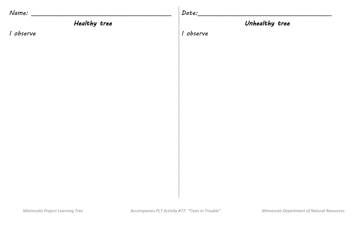| Name:        | Date:          |
|--------------|----------------|
| Healthy tree | Unhealthy tree |
| I observe    | I observe      |
|              |                |
|              |                |
|              |                |
|              |                |
|              |                |
|              |                |
|              |                |
|              |                |
|              |                |
|              |                |
|              |                |
|              |                |
|              |                |
|              |                |